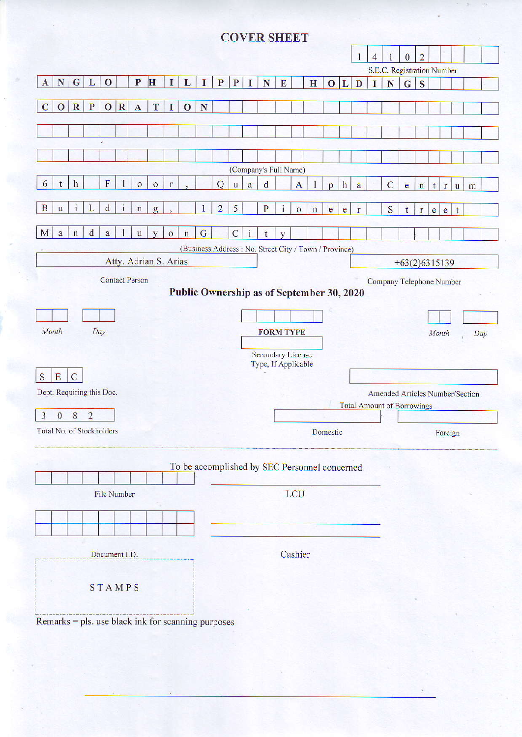# **COVER SHEET**

|                |              |                         |                |                           |                 |                                                      |              |              |              |             |                |                          |              |                                                       |              |              |             |              |              | $\mathbf{1}$ | $\overline{4}$ |                                   | $\mathbf{0}$    | $\overline{2}$ |              |              |              |     |  |
|----------------|--------------|-------------------------|----------------|---------------------------|-----------------|------------------------------------------------------|--------------|--------------|--------------|-------------|----------------|--------------------------|--------------|-------------------------------------------------------|--------------|--------------|-------------|--------------|--------------|--------------|----------------|-----------------------------------|-----------------|----------------|--------------|--------------|--------------|-----|--|
|                |              |                         |                |                           |                 |                                                      |              |              |              |             |                |                          |              |                                                       |              |              |             |              |              |              |                | S.E.C. Registration Number        |                 |                |              |              |              |     |  |
| $\mathbf{A}$   | ${\bf N}$    | $\mathbf G$             | L              | $\mathbf{O}$              |                 | $\mathbf{P}$                                         | H            | I            | L            | I           | $\mathbf P$    | $\mathbf{P}$             | 1            | N                                                     | $\mathbf E$  |              | H           | $\mathbf{O}$ | L            | D            | T              | N                                 | $\mathbf G$     | S              |              |              |              |     |  |
| $\overline{C}$ | $\mathbf{O}$ | $\overline{\mathbf{R}}$ | P              | $\mathbf{O}$              | $\vert R \vert$ | $\mathbf{A}$                                         | T            | I            | $\mathbf{O}$ | ${\bf N}$   |                |                          |              |                                                       |              |              |             |              |              |              |                |                                   |                 |                |              |              |              |     |  |
|                |              |                         |                |                           |                 |                                                      |              |              |              |             |                |                          |              |                                                       |              |              |             |              |              |              |                |                                   |                 |                |              |              |              |     |  |
|                |              |                         |                |                           |                 |                                                      |              |              |              |             |                |                          |              |                                                       |              |              |             |              |              |              |                |                                   |                 |                |              |              |              |     |  |
|                |              |                         |                | ï                         |                 |                                                      |              |              |              |             |                |                          |              |                                                       |              |              |             |              |              |              |                |                                   |                 |                |              |              |              |     |  |
|                |              |                         |                |                           |                 |                                                      |              |              |              |             |                |                          |              |                                                       |              |              |             |              |              |              |                |                                   |                 |                |              |              |              |     |  |
| 6              | t            | $\mathbf{h}$            |                | $\overline{F}$            |                 | $\circ$                                              | $\circ$      | $\mathbf{r}$ |              |             | Q              |                          |              | (Company's Full Name)                                 |              | $\mathbf{A}$ |             |              |              |              |                |                                   |                 |                |              |              |              |     |  |
|                |              |                         |                |                           |                 |                                                      |              |              |              |             |                | $\ensuremath{\mathbf u}$ | a            | d                                                     |              |              |             | $\mathbf{p}$ | $\mathbf{h}$ | a            |                | $\overline{C}$                    | e               | $\mathbf n$    | t            | $\mathbf{r}$ | $\mathbf{u}$ | m   |  |
| B              | $\mathbf{u}$ | $\mathbf{1}$            | L              | $\mathbf{d}$              | $\mathbf{i}$    | $\mathbf n$                                          | $\mathbf{g}$ |              |              |             | $\overline{2}$ | 5                        |              | ${\bf P}$                                             | $\mathbf{i}$ | $\circ$      | $\mathbf n$ | $\mathbf{e}$ | e            | $\mathbf{r}$ |                | S                                 | t.              | $\mathbf r$    | $\mathbf{e}$ | $\mathbf{e}$ | t            |     |  |
|                |              |                         |                |                           |                 |                                                      |              |              |              |             |                |                          |              |                                                       |              |              |             |              |              |              |                |                                   |                 |                |              |              |              |     |  |
| M              | $\mathbf{a}$ | $\mathbf n$             | $\mathsf d$    | $\mathbf{a}$              | 1               | $\mathbf u$                                          | y            | $\circ$      | $\mathbf n$  | $\mathbf G$ |                | $\overline{C}$           | $\mathbf{i}$ | $\mathsf{t}$                                          | y            |              |             |              |              |              |                |                                   |                 |                |              |              |              |     |  |
|                |              |                         |                |                           |                 |                                                      |              |              |              |             |                |                          |              | (Business Address: No. Street City / Town / Province) |              |              |             |              |              |              |                |                                   |                 |                |              |              |              |     |  |
|                |              |                         |                |                           |                 | Atty. Adrian S. Arias                                |              |              |              |             |                |                          |              |                                                       |              |              |             |              |              |              |                |                                   | $+63(2)6315139$ |                |              |              |              |     |  |
|                |              |                         |                |                           |                 | <b>Contact Person</b>                                |              |              |              |             |                |                          |              |                                                       |              |              |             |              |              |              |                | Company Telephone Number          |                 |                |              |              |              |     |  |
|                |              |                         |                |                           |                 |                                                      |              |              |              |             |                |                          |              | Public Ownership as of September 30, 2020             |              |              |             |              |              |              |                |                                   |                 |                |              |              |              |     |  |
|                |              |                         |                |                           |                 |                                                      |              |              |              |             |                |                          |              |                                                       |              |              |             |              |              |              |                |                                   |                 |                |              |              |              |     |  |
| Month          |              |                         |                | Day                       |                 |                                                      |              |              |              |             |                |                          |              | <b>FORM TYPE</b>                                      |              |              |             |              |              |              |                |                                   |                 |                |              | Month        |              | Day |  |
|                |              |                         |                |                           |                 |                                                      |              |              |              |             |                |                          |              |                                                       |              |              |             |              |              |              |                |                                   |                 |                |              |              |              |     |  |
|                |              |                         |                |                           |                 |                                                      |              |              |              |             |                |                          |              | <b>Secondary License</b>                              |              |              |             |              |              |              |                |                                   |                 |                |              |              |              |     |  |
| S              | E            | $\mathcal{C}$           |                |                           |                 |                                                      |              |              |              |             |                |                          |              | Type, If Applicable                                   |              |              |             |              |              |              |                |                                   |                 |                |              |              |              |     |  |
|                |              |                         |                | Dept. Requiring this Doc. |                 |                                                      |              |              |              |             |                |                          |              |                                                       |              |              |             |              |              |              |                | Amended Articles Number/Section   |                 |                |              |              |              |     |  |
|                |              |                         |                |                           |                 |                                                      |              |              |              |             |                |                          |              |                                                       |              |              |             |              |              |              |                | <b>Total Amount of Borrowings</b> |                 |                |              |              |              |     |  |
| 3              | $\mathbf{0}$ | 8                       | $\overline{2}$ |                           |                 |                                                      |              |              |              |             |                |                          |              |                                                       |              |              |             |              |              |              |                |                                   |                 |                |              |              |              |     |  |
|                |              |                         |                | Total No. of Stockholders |                 |                                                      |              |              |              |             |                |                          |              |                                                       |              |              |             | Domestic     |              |              |                |                                   |                 |                |              | Foreign      |              |     |  |
|                |              |                         |                |                           |                 |                                                      |              |              |              |             |                |                          |              |                                                       |              |              |             |              |              |              |                |                                   |                 |                |              |              |              |     |  |
|                |              |                         |                |                           |                 |                                                      |              |              |              |             |                |                          |              | To be accomplished by SEC Personnel concerned         |              |              |             |              |              |              |                |                                   |                 |                |              |              |              |     |  |
|                |              |                         |                |                           |                 |                                                      |              |              |              |             |                |                          |              |                                                       |              |              |             |              |              |              |                |                                   |                 |                |              |              |              |     |  |
|                |              |                         |                | File Number               |                 |                                                      |              |              |              |             |                |                          |              |                                                       |              | LCU          |             |              |              |              |                |                                   |                 |                |              |              |              |     |  |
|                |              |                         |                |                           |                 |                                                      |              |              |              |             |                |                          |              |                                                       |              |              |             |              |              |              |                |                                   |                 |                |              |              |              |     |  |
|                |              |                         |                |                           |                 |                                                      |              |              |              |             |                |                          |              |                                                       |              |              |             |              |              |              |                |                                   |                 |                |              |              |              |     |  |
|                |              |                         |                |                           |                 |                                                      |              |              |              |             |                |                          |              |                                                       |              |              |             |              |              |              |                |                                   |                 |                |              |              |              |     |  |
|                |              |                         |                | Document I.D.             |                 |                                                      |              |              |              |             |                |                          |              |                                                       |              | Cashier      |             |              |              |              |                |                                   |                 |                |              |              |              |     |  |
|                |              |                         |                |                           |                 |                                                      |              |              |              |             |                |                          |              |                                                       |              |              |             |              |              |              |                |                                   |                 |                |              |              |              |     |  |
|                |              |                         |                | STAMPS                    |                 |                                                      |              |              |              |             |                |                          |              |                                                       |              |              |             |              |              |              |                |                                   |                 |                |              |              |              |     |  |
|                |              |                         |                |                           |                 |                                                      |              |              |              |             |                |                          |              |                                                       |              |              |             |              |              |              |                |                                   |                 |                |              |              |              |     |  |
|                |              |                         |                |                           |                 |                                                      |              |              |              |             |                |                          |              |                                                       |              |              |             |              |              |              |                |                                   |                 |                |              |              |              |     |  |
|                |              |                         |                |                           |                 | Remarks $=$ pls. use black ink for scanning purposes |              |              |              |             |                |                          |              |                                                       |              |              |             |              |              |              |                |                                   |                 |                |              |              |              |     |  |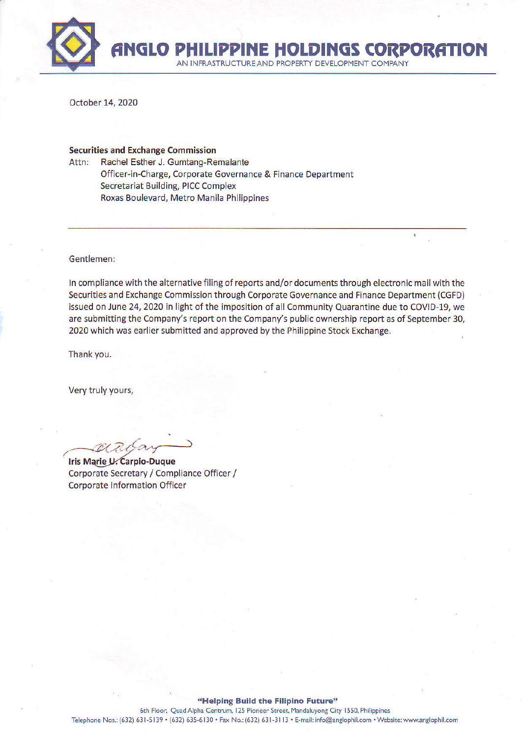

October 14, 2020

#### **Securities and Exchange Commission**

Attn: Rachel Esther J. Gumtang-Remalante Officer-in-Charge, Corporate Governance & Finance Department **Secretariat Building, PICC Complex** Roxas Boulevard, Metro Manila Philippines

Gentlemen:

In compliance with the alternative filing of reports and/or documents through electronic mail with the Securities and Exchange Commission through Corporate Governance and Finance Department (CGFD) issued on June 24, 2020 in light of the imposition of all Community Quarantine due to COVID-19, we are submitting the Company's report on the Company's public ownership report as of September 30, 2020 which was earlier submitted and approved by the Philippine Stock Exchange.

Thank you.

Very truly yours,

Iris Marie U. Carpio-Duque Corporate Secretary / Compliance Officer / **Corporate Information Officer**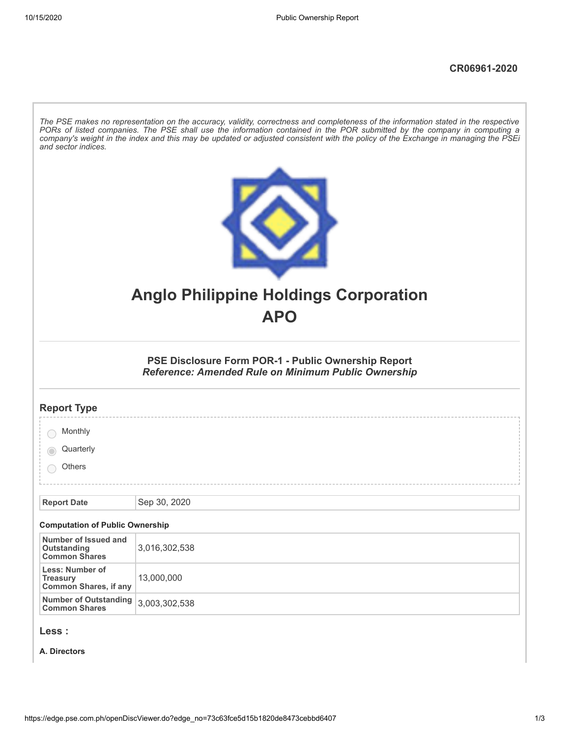| The PSE makes no representation on the accuracy, validity, correctness and completeness of the information stated in the respective<br>PORs of listed companies. The PSE shall use the information contained in the POR submitted by the company in computing a<br>company's weight in the index and this may be updated or adjusted consistent with the policy of the Exchange in managing the PSEi<br>and sector indices. |                                                                                                            |  |  |  |  |  |
|-----------------------------------------------------------------------------------------------------------------------------------------------------------------------------------------------------------------------------------------------------------------------------------------------------------------------------------------------------------------------------------------------------------------------------|------------------------------------------------------------------------------------------------------------|--|--|--|--|--|
|                                                                                                                                                                                                                                                                                                                                                                                                                             | <b>Anglo Philippine Holdings Corporation</b><br><b>APO</b>                                                 |  |  |  |  |  |
|                                                                                                                                                                                                                                                                                                                                                                                                                             |                                                                                                            |  |  |  |  |  |
|                                                                                                                                                                                                                                                                                                                                                                                                                             | PSE Disclosure Form POR-1 - Public Ownership Report<br>Reference: Amended Rule on Minimum Public Ownership |  |  |  |  |  |
| <b>Report Type</b>                                                                                                                                                                                                                                                                                                                                                                                                          |                                                                                                            |  |  |  |  |  |
| Monthly                                                                                                                                                                                                                                                                                                                                                                                                                     |                                                                                                            |  |  |  |  |  |
| Quarterly                                                                                                                                                                                                                                                                                                                                                                                                                   |                                                                                                            |  |  |  |  |  |
| Others                                                                                                                                                                                                                                                                                                                                                                                                                      |                                                                                                            |  |  |  |  |  |
| <b>Report Date</b>                                                                                                                                                                                                                                                                                                                                                                                                          | Sep 30, 2020                                                                                               |  |  |  |  |  |
|                                                                                                                                                                                                                                                                                                                                                                                                                             |                                                                                                            |  |  |  |  |  |
| <b>Computation of Public Ownership</b><br>Number of Issued and                                                                                                                                                                                                                                                                                                                                                              |                                                                                                            |  |  |  |  |  |
| <b>Outstanding</b><br><b>Common Shares</b>                                                                                                                                                                                                                                                                                                                                                                                  | 3,016,302,538                                                                                              |  |  |  |  |  |
| Less: Number of<br><b>Treasury</b><br><b>Common Shares, if any</b>                                                                                                                                                                                                                                                                                                                                                          | 13,000,000                                                                                                 |  |  |  |  |  |
| <b>Number of Outstanding</b><br><b>Common Shares</b>                                                                                                                                                                                                                                                                                                                                                                        | 3,003,302,538                                                                                              |  |  |  |  |  |
| Less :                                                                                                                                                                                                                                                                                                                                                                                                                      |                                                                                                            |  |  |  |  |  |

**A. Directors**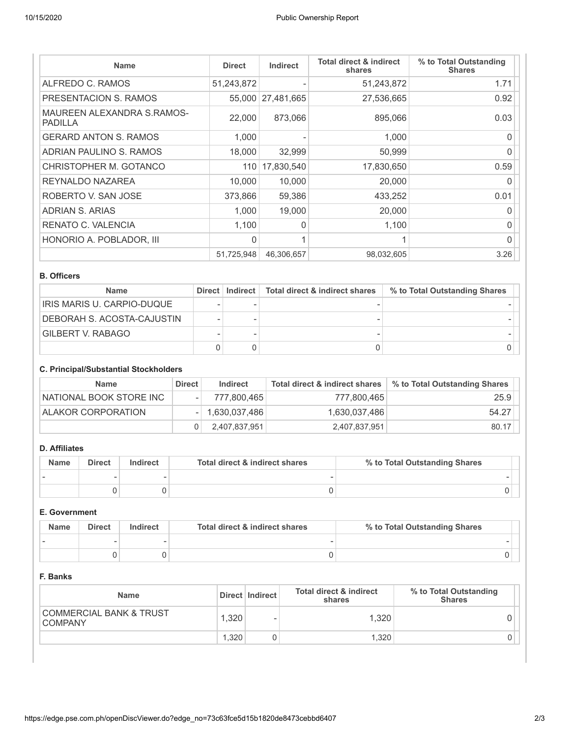| <b>Name</b>                                  | <b>Direct</b> | <b>Indirect</b> | <b>Total direct &amp; indirect</b><br>shares | % to Total Outstanding<br><b>Shares</b> |
|----------------------------------------------|---------------|-----------------|----------------------------------------------|-----------------------------------------|
| ALFREDO C. RAMOS                             | 51,243,872    |                 | 51,243,872                                   | 1.71                                    |
| PRESENTACION S. RAMOS                        | 55,000        | 27,481,665      | 27,536,665                                   | 0.92                                    |
| MAUREEN ALEXANDRA S.RAMOS-<br><b>PADILLA</b> | 22,000        | 873.066         | 895,066                                      | 0.03                                    |
| <b>GERARD ANTON S. RAMOS</b>                 | 1,000         |                 | 1.000                                        | 0                                       |
| ADRIAN PAULINO S. RAMOS                      | 18,000        | 32,999          | 50,999                                       | 0                                       |
| CHRISTOPHER M. GOTANCO                       |               | 110 17,830,540  | 17,830,650                                   | 0.59                                    |
| REYNALDO NAZAREA                             | 10,000        | 10,000          | 20,000                                       | 0                                       |
| ROBERTO V. SAN JOSE                          | 373.866       | 59,386          | 433,252                                      | 0.01                                    |
| ADRIAN S. ARIAS                              | 1.000         | 19,000          | 20,000                                       | U                                       |
| RENATO C. VALENCIA                           | 1,100         | 0               | 1,100                                        | 0                                       |
| HONORIO A. POBLADOR, III                     | $\Omega$      |                 |                                              | 0                                       |
|                                              | 51,725,948    | 46,306,657      | 98,032,605                                   | 3.26                                    |

#### **B. Officers**

| <b>Name</b>                |  | Direct   Indirect   Total direct & indirect shares | % to Total Outstanding Shares |  |
|----------------------------|--|----------------------------------------------------|-------------------------------|--|
| IRIS MARIS U. CARPIO-DUQUE |  |                                                    |                               |  |
| DEBORAH S. ACOSTA-CAJUSTIN |  |                                                    |                               |  |
| GILBERT V. RABAGO          |  |                                                    |                               |  |
|                            |  |                                                    |                               |  |

## **C. Principal/Substantial Stockholders**

| <b>Name</b>             | <b>Direct</b> | Indirect            | Total direct & indirect shares | % to Total Outstanding Shares |
|-------------------------|---------------|---------------------|--------------------------------|-------------------------------|
| NATIONAL BOOK STORE INC |               | 777,800,465         | 777,800,465                    | 25.9                          |
| ALAKOR CORPORATION      |               | $-  1,630,037,486 $ | 1,630,037,486                  | 54.27                         |
|                         |               | 2,407,837,951       | 2,407,837,951                  | 80.17                         |

## **D. Affiliates**

| <b>Name</b> | <b>Direct</b> | Indirect | Total direct & indirect shares | % to Total Outstanding Shares |
|-------------|---------------|----------|--------------------------------|-------------------------------|
|             |               |          |                                |                               |
|             |               |          |                                |                               |

## **E. Government**

| <b>Name</b> | <b>Direct</b> | Indirect | Total direct & indirect shares | % to Total Outstanding Shares |  |
|-------------|---------------|----------|--------------------------------|-------------------------------|--|
|             |               |          |                                |                               |  |
|             |               |          |                                |                               |  |

## **F. Banks**

| <b>Name</b>                                          |       | Direct   Indirect        | Total direct & indirect<br>shares | % to Total Outstanding<br><b>Shares</b> |
|------------------------------------------------------|-------|--------------------------|-----------------------------------|-----------------------------------------|
| <b>COMMERCIAL BANK &amp; TRUST</b><br><b>COMPANY</b> | .320  | $\overline{\phantom{a}}$ | 1.320 <sub>1</sub>                |                                         |
|                                                      | 1.320 |                          | 1.320                             |                                         |